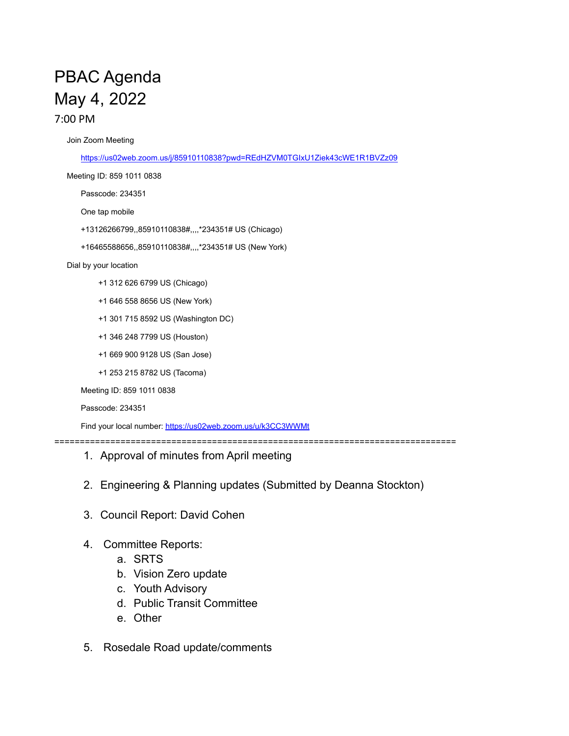## PBAC Agenda May 4, 2022 7:00 PM

Join Zoom Meeting

<https://us02web.zoom.us/j/85910110838?pwd=REdHZVM0TGIxU1Ziek43cWE1R1BVZz09>

Meeting ID: 859 1011 0838

Passcode: 234351

One tap mobile

+13126266799,,85910110838#,,,,\*234351# US (Chicago)

+16465588656,,85910110838#,,,,\*234351# US (New York)

Dial by your location

- +1 312 626 6799 US (Chicago)
- +1 646 558 8656 US (New York)
- +1 301 715 8592 US (Washington DC)
- +1 346 248 7799 US (Houston)
- +1 669 900 9128 US (San Jose)
- +1 253 215 8782 US (Tacoma)

Meeting ID: 859 1011 0838

```
Passcode: 234351
```
Find your local number: <https://us02web.zoom.us/u/k3CC3WWMt>

===============================================================================

- 1. Approval of minutes from April meeting
- 2. Engineering & Planning updates (Submitted by Deanna Stockton)
- 3. Council Report: David Cohen
- 4. Committee Reports:
	- a. SRTS
	- b. Vision Zero update
	- c. Youth Advisory
	- d. Public Transit Committee
	- e. Other
- 5. Rosedale Road update/comments